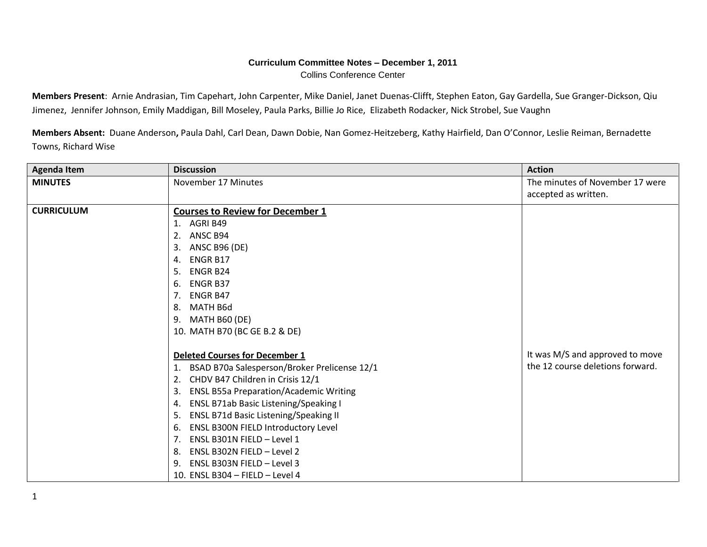## **Curriculum Committee Notes – December 1, 2011** Collins Conference Center

**Members Present**: Arnie Andrasian, Tim Capehart, John Carpenter, Mike Daniel, Janet Duenas-Clifft, Stephen Eaton, Gay Gardella, Sue Granger-Dickson, Qiu Jimenez, Jennifer Johnson, Emily Maddigan, Bill Moseley, Paula Parks, Billie Jo Rice, Elizabeth Rodacker, Nick Strobel, Sue Vaughn

**Members Absent:** Duane Anderson**,** Paula Dahl, Carl Dean, Dawn Dobie, Nan Gomez-Heitzeberg, Kathy Hairfield, Dan O'Connor, Leslie Reiman, Bernadette Towns, Richard Wise

| <b>Agenda Item</b> | <b>Discussion</b>                                   | <b>Action</b>                    |
|--------------------|-----------------------------------------------------|----------------------------------|
| <b>MINUTES</b>     | November 17 Minutes                                 | The minutes of November 17 were  |
|                    |                                                     | accepted as written.             |
| <b>CURRICULUM</b>  | <b>Courses to Review for December 1</b>             |                                  |
|                    | AGRI B49<br>1.                                      |                                  |
|                    | ANSC B94<br>2.                                      |                                  |
|                    | <b>ANSC B96 (DE)</b><br>3.                          |                                  |
|                    | <b>ENGR B17</b><br>4.                               |                                  |
|                    | <b>ENGR B24</b><br>5.                               |                                  |
|                    | <b>ENGR B37</b><br>6.                               |                                  |
|                    | <b>ENGR B47</b><br>7.                               |                                  |
|                    | MATH B6d<br>8.                                      |                                  |
|                    | MATH B60 (DE)<br>9.                                 |                                  |
|                    | 10. MATH B70 (BC GE B.2 & DE)                       |                                  |
|                    |                                                     |                                  |
|                    | <b>Deleted Courses for December 1</b>               | It was M/S and approved to move  |
|                    | BSAD B70a Salesperson/Broker Prelicense 12/1        | the 12 course deletions forward. |
|                    | CHDV B47 Children in Crisis 12/1<br>2.              |                                  |
|                    | <b>ENSL B55a Preparation/Academic Writing</b><br>3. |                                  |
|                    | ENSL B71ab Basic Listening/Speaking I<br>4.         |                                  |
|                    | ENSL B71d Basic Listening/Speaking II<br>5.         |                                  |
|                    | ENSL B300N FIELD Introductory Level<br>6.           |                                  |
|                    | ENSL B301N FIELD - Level 1<br>7.                    |                                  |
|                    | ENSL B302N FIELD - Level 2<br>8.                    |                                  |
|                    | ENSL B303N FIELD - Level 3<br>9.                    |                                  |
|                    | 10. ENSL B304 - FIELD - Level 4                     |                                  |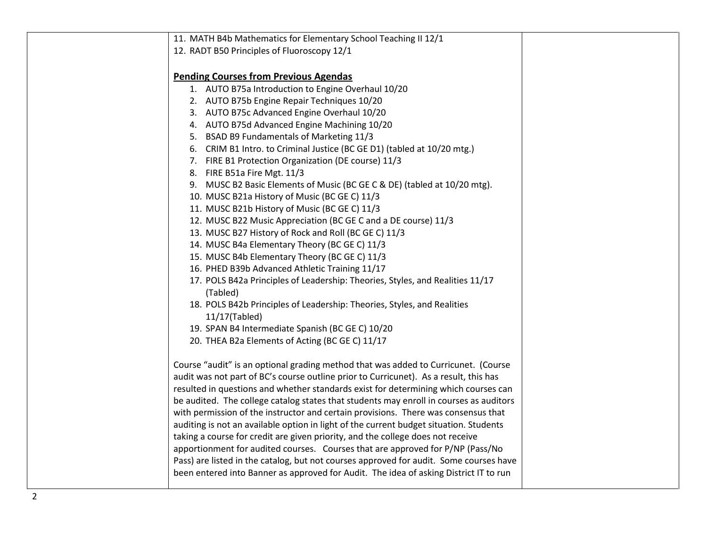| 11. MATH B4b Mathematics for Elementary School Teaching II 12/1                           |  |
|-------------------------------------------------------------------------------------------|--|
| 12. RADT B50 Principles of Fluoroscopy 12/1                                               |  |
|                                                                                           |  |
| <b>Pending Courses from Previous Agendas</b>                                              |  |
| 1. AUTO B75a Introduction to Engine Overhaul 10/20                                        |  |
| 2. AUTO B75b Engine Repair Techniques 10/20                                               |  |
| 3. AUTO B75c Advanced Engine Overhaul 10/20                                               |  |
| 4. AUTO B75d Advanced Engine Machining 10/20                                              |  |
| 5. BSAD B9 Fundamentals of Marketing 11/3                                                 |  |
| 6. CRIM B1 Intro. to Criminal Justice (BC GE D1) (tabled at 10/20 mtg.)                   |  |
| 7. FIRE B1 Protection Organization (DE course) 11/3                                       |  |
| 8. FIRE B51a Fire Mgt. 11/3                                                               |  |
| 9. MUSC B2 Basic Elements of Music (BC GE C & DE) (tabled at 10/20 mtg).                  |  |
| 10. MUSC B21a History of Music (BC GE C) 11/3                                             |  |
| 11. MUSC B21b History of Music (BC GE C) 11/3                                             |  |
| 12. MUSC B22 Music Appreciation (BC GE C and a DE course) 11/3                            |  |
| 13. MUSC B27 History of Rock and Roll (BC GE C) 11/3                                      |  |
| 14. MUSC B4a Elementary Theory (BC GE C) 11/3                                             |  |
| 15. MUSC B4b Elementary Theory (BC GE C) 11/3                                             |  |
| 16. PHED B39b Advanced Athletic Training 11/17                                            |  |
| 17. POLS B42a Principles of Leadership: Theories, Styles, and Realities 11/17<br>(Tabled) |  |
| 18. POLS B42b Principles of Leadership: Theories, Styles, and Realities                   |  |
| 11/17(Tabled)                                                                             |  |
| 19. SPAN B4 Intermediate Spanish (BC GE C) 10/20                                          |  |
| 20. THEA B2a Elements of Acting (BC GE C) 11/17                                           |  |
|                                                                                           |  |
| Course "audit" is an optional grading method that was added to Curricunet. (Course        |  |
| audit was not part of BC's course outline prior to Curricunet). As a result, this has     |  |
| resulted in questions and whether standards exist for determining which courses can       |  |
| be audited. The college catalog states that students may enroll in courses as auditors    |  |
| with permission of the instructor and certain provisions. There was consensus that        |  |
| auditing is not an available option in light of the current budget situation. Students    |  |
| taking a course for credit are given priority, and the college does not receive           |  |
| apportionment for audited courses. Courses that are approved for P/NP (Pass/No            |  |
| Pass) are listed in the catalog, but not courses approved for audit. Some courses have    |  |
| been entered into Banner as approved for Audit. The idea of asking District IT to run     |  |
|                                                                                           |  |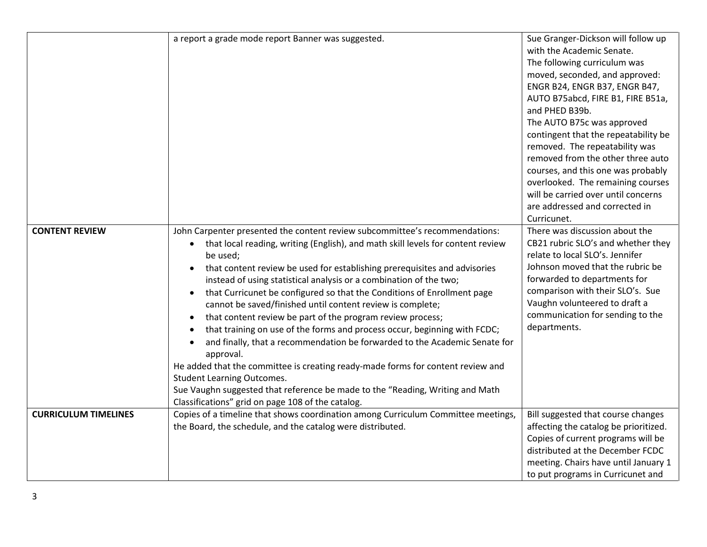|                             | a report a grade mode report Banner was suggested.                                                                                                                                                                                                                                                                                                                                                                                                                                                                                                                                                                                                                                                                                                                                                                                                                                                                                                                                                                                          | Sue Granger-Dickson will follow up<br>with the Academic Senate.<br>The following curriculum was<br>moved, seconded, and approved:<br>ENGR B24, ENGR B37, ENGR B47,<br>AUTO B75abcd, FIRE B1, FIRE B51a,<br>and PHED B39b.<br>The AUTO B75c was approved<br>contingent that the repeatability be<br>removed. The repeatability was<br>removed from the other three auto<br>courses, and this one was probably<br>overlooked. The remaining courses<br>will be carried over until concerns<br>are addressed and corrected in<br>Curricunet. |
|-----------------------------|---------------------------------------------------------------------------------------------------------------------------------------------------------------------------------------------------------------------------------------------------------------------------------------------------------------------------------------------------------------------------------------------------------------------------------------------------------------------------------------------------------------------------------------------------------------------------------------------------------------------------------------------------------------------------------------------------------------------------------------------------------------------------------------------------------------------------------------------------------------------------------------------------------------------------------------------------------------------------------------------------------------------------------------------|-------------------------------------------------------------------------------------------------------------------------------------------------------------------------------------------------------------------------------------------------------------------------------------------------------------------------------------------------------------------------------------------------------------------------------------------------------------------------------------------------------------------------------------------|
| <b>CONTENT REVIEW</b>       | John Carpenter presented the content review subcommittee's recommendations:<br>that local reading, writing (English), and math skill levels for content review<br>$\bullet$<br>be used;<br>that content review be used for establishing prerequisites and advisories<br>$\bullet$<br>instead of using statistical analysis or a combination of the two;<br>that Curricunet be configured so that the Conditions of Enrollment page<br>$\bullet$<br>cannot be saved/finished until content review is complete;<br>that content review be part of the program review process;<br>$\bullet$<br>that training on use of the forms and process occur, beginning with FCDC;<br>and finally, that a recommendation be forwarded to the Academic Senate for<br>$\bullet$<br>approval.<br>He added that the committee is creating ready-made forms for content review and<br><b>Student Learning Outcomes.</b><br>Sue Vaughn suggested that reference be made to the "Reading, Writing and Math<br>Classifications" grid on page 108 of the catalog. | There was discussion about the<br>CB21 rubric SLO's and whether they<br>relate to local SLO's. Jennifer<br>Johnson moved that the rubric be<br>forwarded to departments for<br>comparison with their SLO's. Sue<br>Vaughn volunteered to draft a<br>communication for sending to the<br>departments.                                                                                                                                                                                                                                      |
| <b>CURRICULUM TIMELINES</b> | Copies of a timeline that shows coordination among Curriculum Committee meetings,<br>the Board, the schedule, and the catalog were distributed.                                                                                                                                                                                                                                                                                                                                                                                                                                                                                                                                                                                                                                                                                                                                                                                                                                                                                             | Bill suggested that course changes<br>affecting the catalog be prioritized.<br>Copies of current programs will be<br>distributed at the December FCDC<br>meeting. Chairs have until January 1<br>to put programs in Curricunet and                                                                                                                                                                                                                                                                                                        |